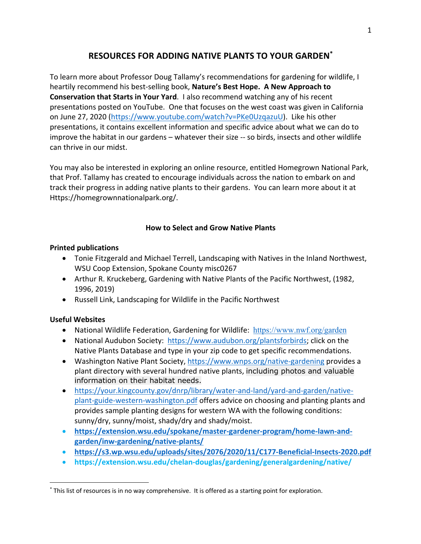# **RESOURCES FOR ADDING NATIVE PLANTS TO YOUR GARDEN\***

To learn more about Professor Doug Tallamy's recommendations for gardening for wildlife, I heartily recommend his best-selling book, **Nature's Best Hope. A New Approach to Conservation that Starts in Your Yard**. I also recommend watching any of his recent presentations posted on YouTube. One that focuses on the west coast was given in California on June 27, 2020 (https://www.youtube.com/watch?v=PKe0UzqazuU). Like his other presentations, it contains excellent information and specific advice about what we can do to improve the habitat in our gardens – whatever their size -- so birds, insects and other wildlife can thrive in our midst.

You may also be interested in exploring an online resource, entitled Homegrown National Park, that Prof. Tallamy has created to encourage individuals across the nation to embark on and track their progress in adding native plants to their gardens. You can learn more about it at Https://homegrownnationalpark.org/.

### **How to Select and Grow Native Plants**

### **Printed publications**

- Tonie Fitzgerald and Michael Terrell, Landscaping with Natives in the Inland Northwest, WSU Coop Extension, Spokane County misc0267
- Arthur R. Kruckeberg, Gardening with Native Plants of the Pacific Northwest, (1982, 1996, 2019)
- Russell Link, Landscaping for Wildlife in the Pacific Northwest

### **Useful Websites**

- National Wildlife Federation, Gardening for Wildlife: https://www.nwf.org/garden
- National Audubon Society: https://www.audubon.org/plantsforbirds; click on the Native Plants Database and type in your zip code to get specific recommendations.
- Washington Native Plant Society, https://www.wnps.org/native-gardening provides a plant directory with several hundred native plants, including photos and valuable information on their habitat needs.
- https://your.kingcounty.gov/dnrp/library/water-and-land/yard-and-garden/nativeplant-guide-western-washington.pdf offers advice on choosing and planting plants and provides sample planting designs for western WA with the following conditions: sunny/dry, sunny/moist, shady/dry and shady/moist.
- **https://extension.wsu.edu/spokane/master-gardener-program/home-lawn-andgarden/inw-gardening/native-plants/**
- **https://s3.wp.wsu.edu/uploads/sites/2076/2020/11/C177-Beneficial-Insects-2020.pdf**
- **https://extension.wsu.edu/chelan-douglas/gardening/generalgardening/native/**

<sup>\*</sup> This list of resources is in no way comprehensive. It is offered as a starting point for exploration.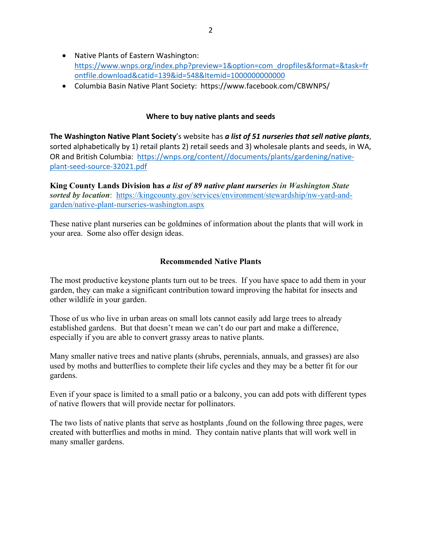- Native Plants of Eastern Washington: https://www.wnps.org/index.php?preview=1&option=com\_dropfiles&format=&task=fr ontfile.download&catid=139&id=548&Itemid=1000000000000
- Columbia Basin Native Plant Society: https://www.facebook.com/CBWNPS/

#### **Where to buy native plants and seeds**

**The Washington Native Plant Society**'s website has *a list of 51 nurseries that sell native plants*, sorted alphabetically by 1) retail plants 2) retail seeds and 3) wholesale plants and seeds, in WA, OR and British Columbia: https://wnps.org/content//documents/plants/gardening/nativeplant-seed-source-32021.pdf

**King County Lands Division has** *a list of 89 native plant nurseries in Washington State sorted by location*: https://kingcounty.gov/services/environment/stewardship/nw-yard-andgarden/native-plant-nurseries-washington.aspx

These native plant nurseries can be goldmines of information about the plants that will work in your area. Some also offer design ideas.

#### **Recommended Native Plants**

The most productive keystone plants turn out to be trees. If you have space to add them in your garden, they can make a significant contribution toward improving the habitat for insects and other wildlife in your garden.

Those of us who live in urban areas on small lots cannot easily add large trees to already established gardens. But that doesn't mean we can't do our part and make a difference, especially if you are able to convert grassy areas to native plants.

Many smaller native trees and native plants (shrubs, perennials, annuals, and grasses) are also used by moths and butterflies to complete their life cycles and they may be a better fit for our gardens.

Even if your space is limited to a small patio or a balcony, you can add pots with different types of native flowers that will provide nectar for pollinators.

The two lists of native plants that serve as hostplants ,found on the following three pages, were created with butterflies and moths in mind. They contain native plants that will work well in many smaller gardens.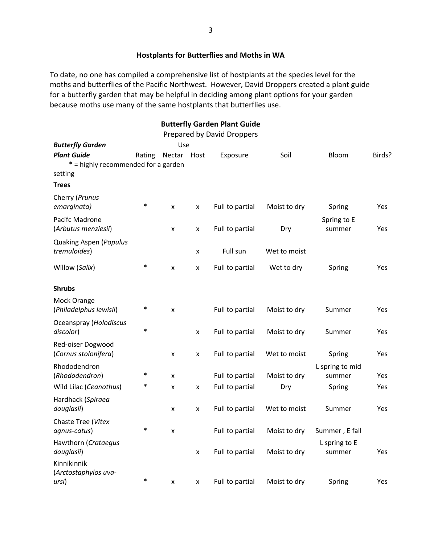### **Hostplants for Butterflies and Moths in WA**

To date, no one has compiled a comprehensive list of hostplants at the species level for the moths and butterflies of the Pacific Northwest. However, David Droppers created a plant guide for a butterfly garden that may be helpful in deciding among plant options for your garden because moths use many of the same hostplants that butterflies use.

|                                                   |        |        |                    | <b>Butterfly Garden Plant Guide</b> |              |                           |            |
|---------------------------------------------------|--------|--------|--------------------|-------------------------------------|--------------|---------------------------|------------|
|                                                   |        |        |                    | Prepared by David Droppers          |              |                           |            |
| <b>Butterfly Garden</b>                           |        | Use    |                    |                                     |              |                           |            |
| <b>Plant Guide</b>                                | Rating | Nectar | Host               | Exposure                            | Soil         | Bloom                     | Birds?     |
| * = highly recommended for a garden               |        |        |                    |                                     |              |                           |            |
| setting                                           |        |        |                    |                                     |              |                           |            |
| <b>Trees</b>                                      |        |        |                    |                                     |              |                           |            |
| Cherry (Prunus<br>emarginata)                     | $\ast$ | X      | x                  | Full to partial                     | Moist to dry | Spring                    | Yes        |
| Pacifc Madrone<br>(Arbutus menziesii)             |        | x      | $\pmb{\mathsf{x}}$ | Full to partial                     | Dry          | Spring to E<br>summer     | Yes        |
| Quaking Aspen (Populus<br>tremuloides)            |        |        | $\pmb{\mathsf{x}}$ | Full sun                            | Wet to moist |                           |            |
| Willow (Salix)                                    | $\ast$ | x      | X                  | Full to partial                     | Wet to dry   | Spring                    | Yes        |
| <b>Shrubs</b>                                     |        |        |                    |                                     |              |                           |            |
| Mock Orange<br>(Philadelphus lewisii)             | $\ast$ | X      |                    | Full to partial                     | Moist to dry | Summer                    | Yes        |
| Oceanspray (Holodiscus<br>discolor)               | $\ast$ |        | $\pmb{\times}$     | Full to partial                     | Moist to dry | Summer                    | <b>Yes</b> |
| Red-oiser Dogwood<br>(Cornus stolonifera)         |        | x      | $\pmb{\mathsf{x}}$ | Full to partial                     | Wet to moist | Spring                    | Yes        |
| Rhododendron<br>(Rhododendron)                    | *      | X      |                    | Full to partial                     | Moist to dry | L spring to mid<br>summer | Yes        |
| Wild Lilac (Ceanothus)                            | *      | x      | x                  | Full to partial                     | Dry          | Spring                    | Yes        |
| Hardhack (Spiraea<br>douglasii)                   |        | X      | x                  | Full to partial                     | Wet to moist | Summer                    | Yes        |
| Chaste Tree (Vitex<br>agnus-catus)                | $\ast$ | X      |                    | Full to partial                     | Moist to dry | Summer, E fall            |            |
| Hawthorn (Crataegus                               |        |        |                    |                                     |              | L spring to E             |            |
| douglasii)<br>Kinnikinnik<br>(Arctostaphylos uva- |        |        | $\pmb{\mathsf{x}}$ | Full to partial                     | Moist to dry | summer                    | Yes        |
| ursi)                                             | $\ast$ | x      | X                  | Full to partial                     | Moist to dry | Spring                    | Yes        |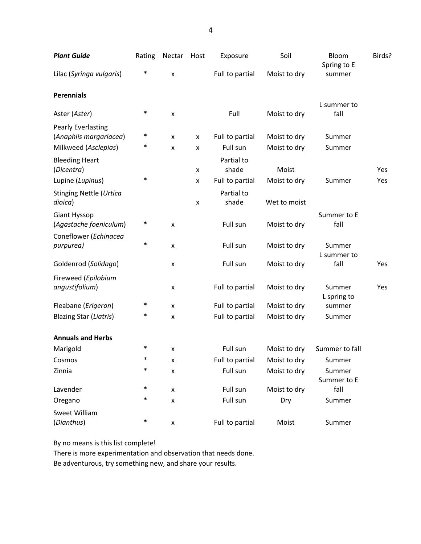| <b>Plant Guide</b>                                  | Rating | Nectar                    | Host               | Exposure            | Soil         | Bloom<br>Spring to E  | Birds?     |
|-----------------------------------------------------|--------|---------------------------|--------------------|---------------------|--------------|-----------------------|------------|
| Lilac (Syringa vulgaris)                            | $\ast$ | $\boldsymbol{\mathsf{x}}$ |                    | Full to partial     | Moist to dry | summer                |            |
| <b>Perennials</b>                                   |        |                           |                    |                     |              |                       |            |
| Aster (Aster)                                       | $\ast$ | X                         |                    | Full                | Moist to dry | L summer to<br>fall   |            |
| <b>Pearly Everlasting</b><br>(Anaphlis margariacea) | ∗      | X                         | x                  | Full to partial     | Moist to dry | Summer                |            |
| Milkweed (Asclepias)                                | *      | x                         | x                  | Full sun            | Moist to dry | Summer                |            |
| <b>Bleeding Heart</b><br>(Dicentra)                 |        |                           | x                  | Partial to<br>shade | Moist        |                       | Yes        |
| Lupine (Lupinus)                                    | $\ast$ |                           | $\pmb{\mathsf{x}}$ | Full to partial     | Moist to dry | Summer                | Yes        |
| <b>Stinging Nettle (Urtica</b><br>dioica)           |        |                           | x                  | Partial to<br>shade | Wet to moist |                       |            |
| Giant Hyssop<br>(Agastache foeniculum)              | $\ast$ | X                         |                    | Full sun            | Moist to dry | Summer to E<br>fall   |            |
| Coneflower (Echinacea<br>purpurea)                  | $\ast$ | X                         |                    | Full sun            | Moist to dry | Summer                |            |
| Goldenrod (Solidago)                                |        | X                         |                    | Full sun            | Moist to dry | L summer to<br>fall   | Yes        |
| Fireweed (Epilobium<br>angustifolium)               |        | X                         |                    | Full to partial     | Moist to dry | Summer<br>L spring to | <b>Yes</b> |
| Fleabane (Erigeron)                                 | $\ast$ | $\mathsf{x}$              |                    | Full to partial     | Moist to dry | summer                |            |
| <b>Blazing Star (Liatris)</b>                       | *      | $\boldsymbol{\mathsf{x}}$ |                    | Full to partial     | Moist to dry | Summer                |            |
| <b>Annuals and Herbs</b>                            |        |                           |                    |                     |              |                       |            |
| Marigold                                            | $\ast$ | X                         |                    | Full sun            | Moist to dry | Summer to fall        |            |
| Cosmos                                              | *      | X                         |                    | Full to partial     | Moist to dry | Summer                |            |
| Zinnia                                              | $\ast$ | $\pmb{\mathsf{x}}$        |                    | Full sun            | Moist to dry | Summer<br>Summer to E |            |
| Lavender                                            | $\ast$ | X                         |                    | Full sun            | Moist to dry | fall                  |            |
| Oregano                                             | $\ast$ | X                         |                    | Full sun            | Dry          | Summer                |            |
| Sweet William<br>(Dianthus)                         | $\ast$ | $\pmb{\mathsf{x}}$        |                    | Full to partial     | Moist        | Summer                |            |

By no means is this list complete!

There is more experimentation and observation that needs done.

Be adventurous, try something new, and share your results.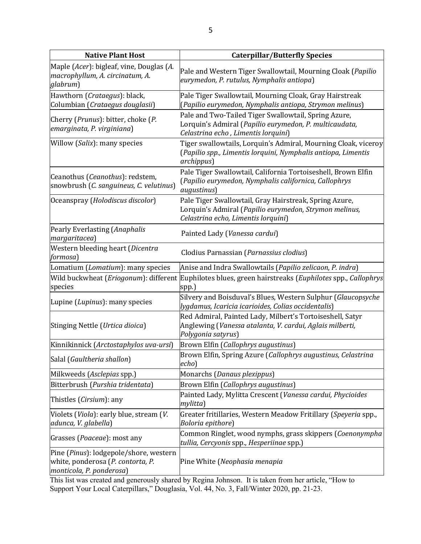| <b>Native Plant Host</b>                                                                                | <b>Caterpillar/Butterfly Species</b>                                                                                                                    |  |  |  |  |
|---------------------------------------------------------------------------------------------------------|---------------------------------------------------------------------------------------------------------------------------------------------------------|--|--|--|--|
| Maple (Acer): bigleaf, vine, Douglas (A.<br>macrophyllum, A. circinatum, A.<br>glabrum)                 | Pale and Western Tiger Swallowtail, Mourning Cloak (Papilio<br>eurymedon, P. rutulus, Nymphalis antiopa)                                                |  |  |  |  |
| Hawthorn (Crataegus): black,<br>Columbian (Crataegus douglasii)                                         | Pale Tiger Swallowtail, Mourning Cloak, Gray Hairstreak<br>(Papilio eurymedon, Nymphalis antiopa, Strymon melinus)                                      |  |  |  |  |
| Cherry (Prunus): bitter, choke (P.<br>emarginata, P. virginiana)                                        | Pale and Two-Tailed Tiger Swallowtail, Spring Azure,<br>Lorquin's Admiral (Papilio eurymedon, P. multicaudata,<br>Celastrina echo, Limentis lorquini)   |  |  |  |  |
| Willow (Salix): many species                                                                            | Tiger swallowtails, Lorquin's Admiral, Mourning Cloak, viceroy<br>(Papilio spp., Limentis lorquini, Nymphalis antiopa, Limentis<br>archippus)           |  |  |  |  |
| Ceanothus (Ceanothus): redstem,<br>snowbrush (C. sanguineus, C. velutinus)                              | Pale Tiger Swallowtail, California Tortoiseshell, Brown Elfin<br>(Papilio eurymedon, Nymphalis californica, Callophrys<br>augustinus)                   |  |  |  |  |
| Oceanspray (Holodiscus discolor)                                                                        | Pale Tiger Swallowtail, Gray Hairstreak, Spring Azure,<br>Lorquin's Admiral (Papilio eurymedon, Strymon melinus,<br>Celastrina echo, Limentis lorquini) |  |  |  |  |
| Pearly Everlasting (Anaphalis<br>margaritacea)                                                          | Painted Lady (Vanessa cardui)                                                                                                                           |  |  |  |  |
| Western bleeding heart (Dicentra<br><i>formosa</i> )                                                    | Clodius Parnassian (Parnassius clodius)                                                                                                                 |  |  |  |  |
| Lomatium (Lomatium): many species                                                                       | Anise and Indra Swallowtails (Papilio zelicaon, P. indra)                                                                                               |  |  |  |  |
| Wild buckwheat (Eriogonum): different<br>species                                                        | Euphilotes blues, green hairstreaks (Euphilotes spp., Callophrys<br>spp.)                                                                               |  |  |  |  |
| Lupine (Lupinus): many species                                                                          | Silvery and Boisduval's Blues, Western Sulphur (Glaucopsyche<br>[ygdamus, Icaricia icarioides, Colias occidentalis]                                     |  |  |  |  |
| Stinging Nettle (Urtica dioica)                                                                         | Red Admiral, Painted Lady, Milbert's Tortoiseshell, Satyr<br>Anglewing (Vanessa atalanta, V. cardui, Aglais milberti,<br>Polygonia satyrus)             |  |  |  |  |
| Kinnikinnick (Arctostaphylos uva-ursi)                                                                  | Brown Elfin (Callophrys augustinus)                                                                                                                     |  |  |  |  |
| Salal (Gaultheria shallon)                                                                              | Brown Elfin, Spring Azure (Callophrys augustinus, Celastrina<br>echo)                                                                                   |  |  |  |  |
| Milkweeds (Asclepias spp.)                                                                              | Monarchs (Danaus plexippus)                                                                                                                             |  |  |  |  |
| Bitterbrush (Purshia tridentata)                                                                        | Brown Elfin (Callophrys augustinus)                                                                                                                     |  |  |  |  |
| Thistles (Cirsium): any                                                                                 | Painted Lady, Mylitta Crescent (Vanessa cardui, Phycioides<br>mylitta)                                                                                  |  |  |  |  |
| Violets (Viola): early blue, stream (V.<br>adunca, V. glabella)                                         | Greater fritillaries, Western Meadow Fritillary (Speyeria spp.,<br>Boloria epithore)                                                                    |  |  |  |  |
| Grasses (Poaceae): most any                                                                             | Common Ringlet, wood nymphs, grass skippers (Coenonympha<br>tullia, Cercyonis spp., Hesperiinae spp.)                                                   |  |  |  |  |
| Pine (Pinus): lodgepole/shore, western<br>white, ponderosa (P. contorta, P.<br>monticola, P. ponderosa) | Pine White (Neophasia menapia                                                                                                                           |  |  |  |  |

This list was created and generously shared by Regina Johnson. It is taken from her article, "How to Support Your Local Caterpillars," Douglasia, Vol. 44, No. 3, Fall/Winter 2020, pp. 21-23.